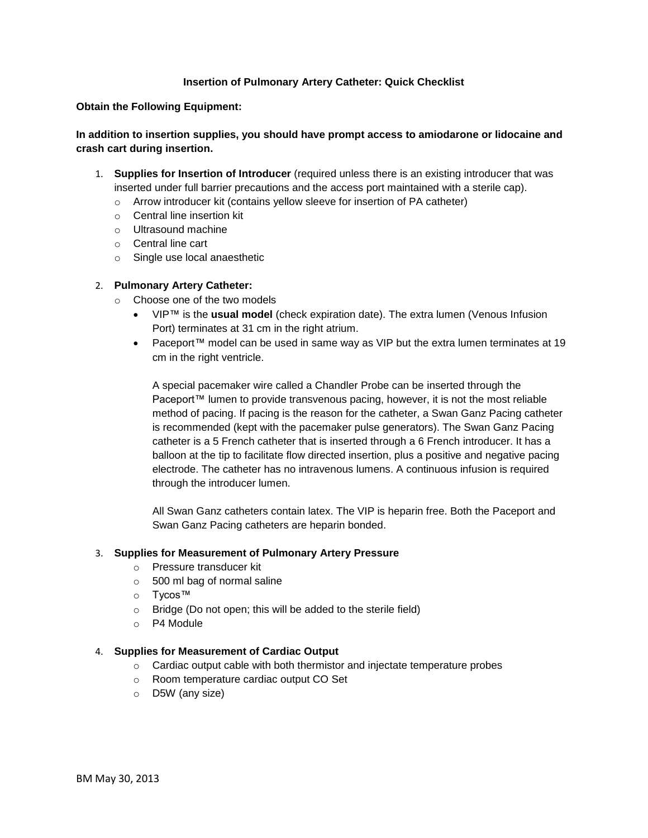## **Insertion of Pulmonary Artery Catheter: Quick Checklist**

**Obtain the Following Equipment:**

## **In addition to insertion supplies, you should have prompt access to amiodarone or lidocaine and crash cart during insertion.**

- 1. **Supplies for Insertion of Introducer** (required unless there is an existing introducer that was inserted under full barrier precautions and the access port maintained with a sterile cap).
	- o Arrow introducer kit (contains yellow sleeve for insertion of PA catheter)
	- o Central line insertion kit
	- o Ultrasound machine
	- o Central line cart
	- o Single use local anaesthetic

### 2. **Pulmonary Artery Catheter:**

- o Choose one of the two models
	- VIP™ is the **usual model** (check expiration date). The extra lumen (Venous Infusion Port) terminates at 31 cm in the right atrium.
	- Paceport™ model can be used in same way as VIP but the extra lumen terminates at 19 cm in the right ventricle.

A special pacemaker wire called a Chandler Probe can be inserted through the Paceport™ lumen to provide transvenous pacing, however, it is not the most reliable method of pacing. If pacing is the reason for the catheter, a Swan Ganz Pacing catheter is recommended (kept with the pacemaker pulse generators). The Swan Ganz Pacing catheter is a 5 French catheter that is inserted through a 6 French introducer. It has a balloon at the tip to facilitate flow directed insertion, plus a positive and negative pacing electrode. The catheter has no intravenous lumens. A continuous infusion is required through the introducer lumen.

All Swan Ganz catheters contain latex. The VIP is heparin free. Both the Paceport and Swan Ganz Pacing catheters are heparin bonded.

#### 3. **Supplies for Measurement of Pulmonary Artery Pressure**

- o Pressure transducer kit
- o 500 ml bag of normal saline
- o Tycos™
- o Bridge (Do not open; this will be added to the sterile field)
- o P4 Module

#### 4. **Supplies for Measurement of Cardiac Output**

- $\circ$  Cardiac output cable with both thermistor and injectate temperature probes
- o Room temperature cardiac output CO Set
- o D5W (any size)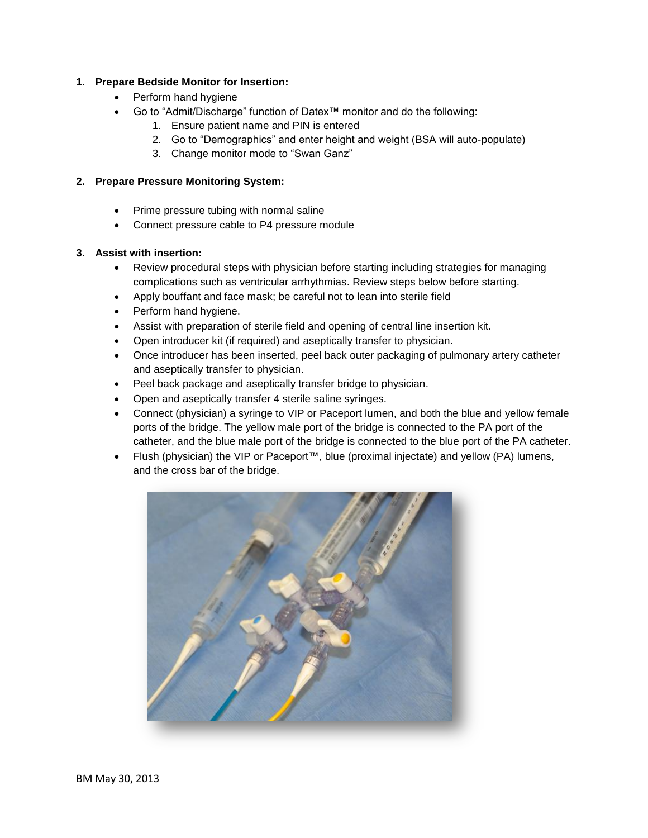# **1. Prepare Bedside Monitor for Insertion:**

- Perform hand hygiene
- Go to "Admit/Discharge" function of Datex™ monitor and do the following:
	- 1. Ensure patient name and PIN is entered
	- 2. Go to "Demographics" and enter height and weight (BSA will auto-populate)
	- 3. Change monitor mode to "Swan Ganz"

## **2. Prepare Pressure Monitoring System:**

- Prime pressure tubing with normal saline
- Connect pressure cable to P4 pressure module

# **3. Assist with insertion:**

- Review procedural steps with physician before starting including strategies for managing complications such as ventricular arrhythmias. Review steps below before starting.
- Apply bouffant and face mask; be careful not to lean into sterile field
- Perform hand hygiene.
- Assist with preparation of sterile field and opening of central line insertion kit.
- Open introducer kit (if required) and aseptically transfer to physician.
- Once introducer has been inserted, peel back outer packaging of pulmonary artery catheter and aseptically transfer to physician.
- Peel back package and aseptically transfer bridge to physician.
- Open and aseptically transfer 4 sterile saline syringes.
- Connect (physician) a syringe to VIP or Paceport lumen, and both the blue and yellow female ports of the bridge. The yellow male port of the bridge is connected to the PA port of the catheter, and the blue male port of the bridge is connected to the blue port of the PA catheter.
- Flush (physician) the VIP or Paceport™, blue (proximal injectate) and yellow (PA) lumens, and the cross bar of the bridge.

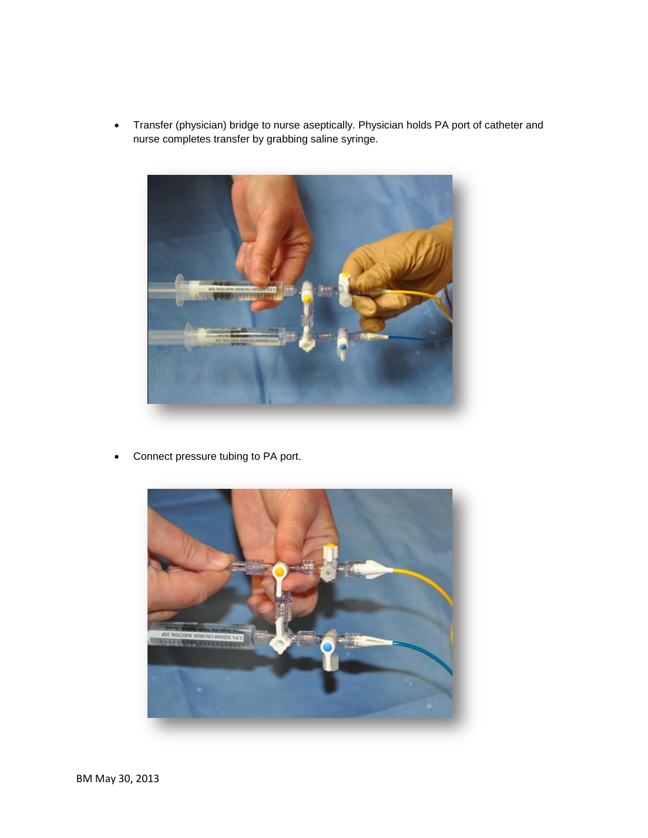Transfer (physician) bridge to nurse aseptically. Physician holds PA port of catheter and nurse completes transfer by grabbing saline syringe.



Connect pressure tubing to PA port.

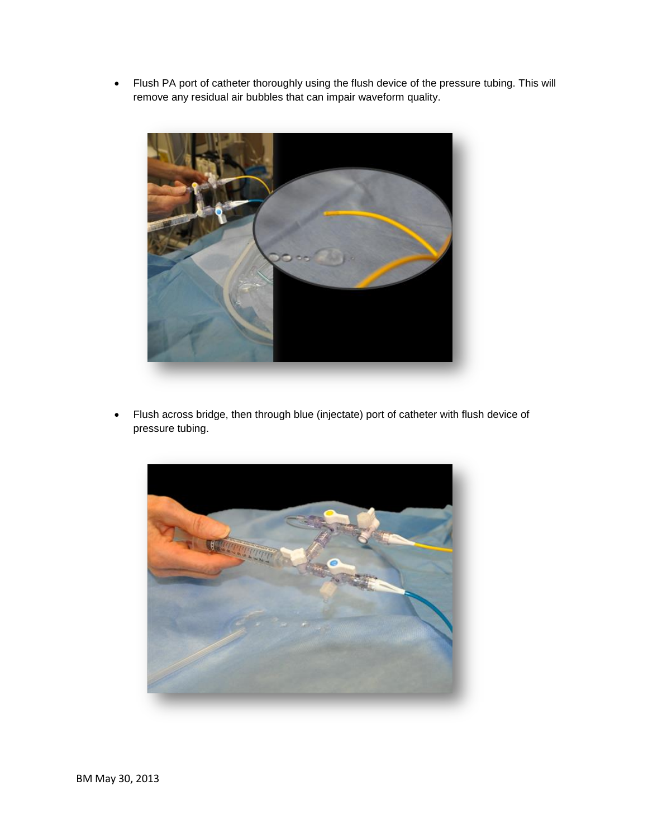• Flush PA port of catheter thoroughly using the flush device of the pressure tubing. This will remove any residual air bubbles that can impair waveform quality.



 Flush across bridge, then through blue (injectate) port of catheter with flush device of pressure tubing.

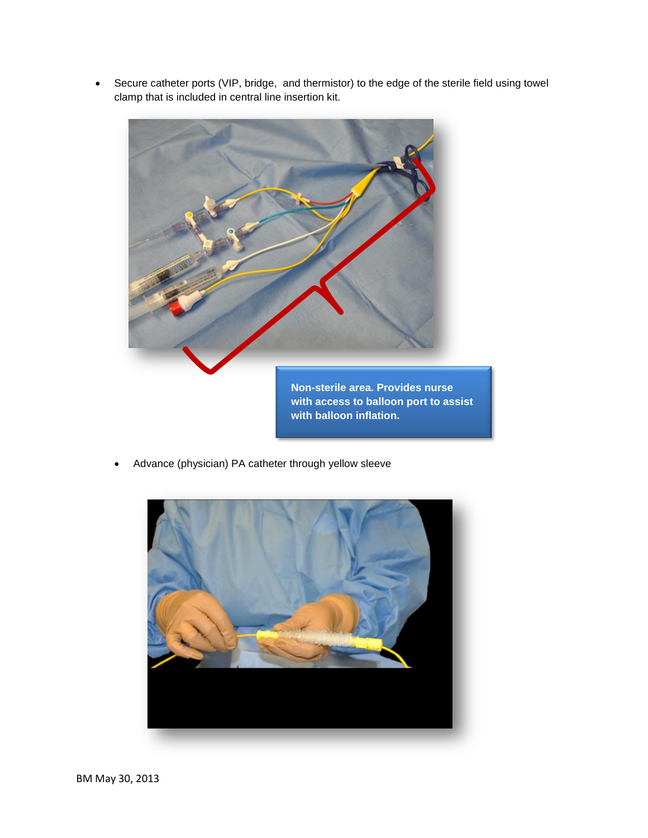Secure catheter ports (VIP, bridge, and thermistor) to the edge of the sterile field using towel clamp that is included in central line insertion kit.



**Non-sterile area. Provides nurse with access to balloon port to assist with balloon inflation.**

Advance (physician) PA catheter through yellow sleeve

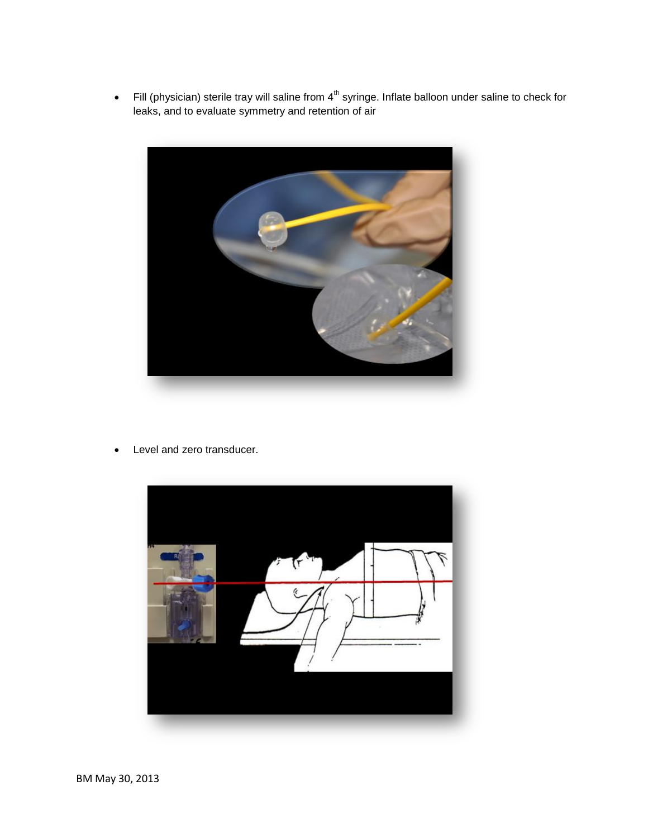Fill (physician) sterile tray will saline from  $4<sup>th</sup>$  syringe. Inflate balloon under saline to check for leaks, and to evaluate symmetry and retention of air



• Level and zero transducer.

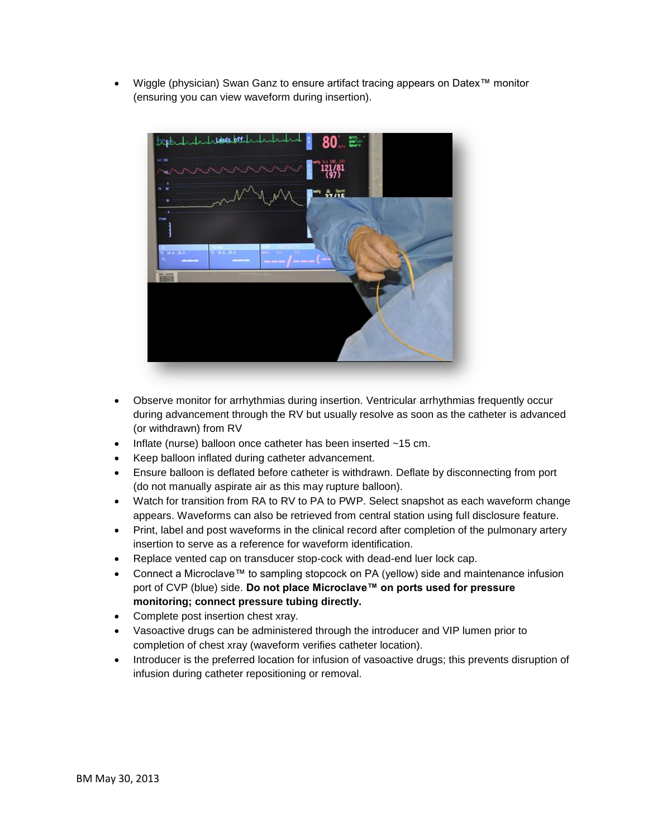Wiggle (physician) Swan Ganz to ensure artifact tracing appears on Datex™ monitor (ensuring you can view waveform during insertion).



- Observe monitor for arrhythmias during insertion. Ventricular arrhythmias frequently occur during advancement through the RV but usually resolve as soon as the catheter is advanced (or withdrawn) from RV
- Inflate (nurse) balloon once catheter has been inserted ~15 cm.
- Keep balloon inflated during catheter advancement.
- Ensure balloon is deflated before catheter is withdrawn. Deflate by disconnecting from port (do not manually aspirate air as this may rupture balloon).
- Watch for transition from RA to RV to PA to PWP. Select snapshot as each waveform change appears. Waveforms can also be retrieved from central station using full disclosure feature.
- Print, label and post waveforms in the clinical record after completion of the pulmonary artery insertion to serve as a reference for waveform identification.
- Replace vented cap on transducer stop-cock with dead-end luer lock cap.
- Connect a Microclave™ to sampling stopcock on PA (yellow) side and maintenance infusion port of CVP (blue) side. **Do not place Microclave™ on ports used for pressure monitoring; connect pressure tubing directly.**
- Complete post insertion chest xray.
- Vasoactive drugs can be administered through the introducer and VIP lumen prior to completion of chest xray (waveform verifies catheter location).
- Introducer is the preferred location for infusion of vasoactive drugs; this prevents disruption of infusion during catheter repositioning or removal.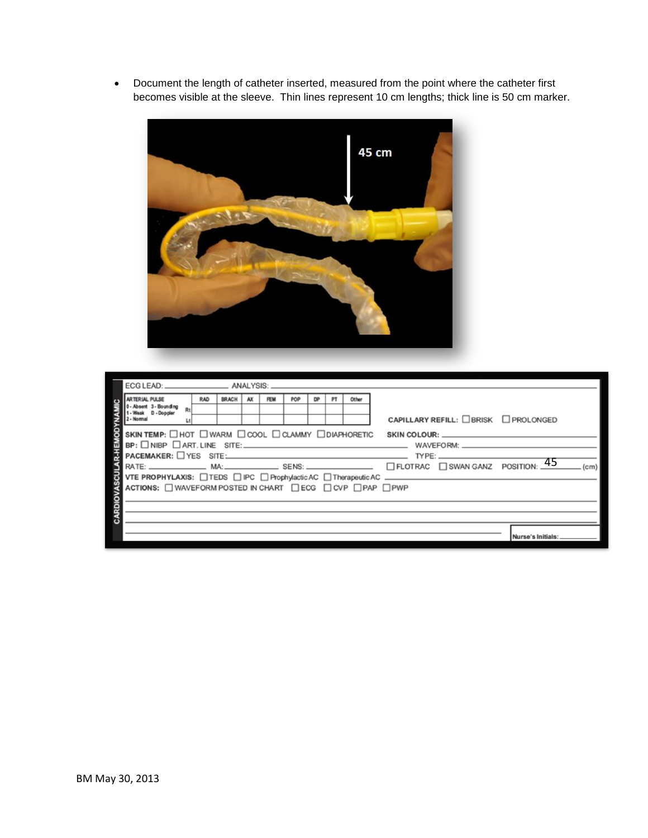Document the length of catheter inserted, measured from the point where the catheter first becomes visible at the sleeve. Thin lines represent 10 cm lengths; thick line is 50 cm marker.



|                                                                                                                              | ECG LEAD: _________________________ ANALYSIS:                                                                                |            |              |    |            |     |           |  |       |                                      |
|------------------------------------------------------------------------------------------------------------------------------|------------------------------------------------------------------------------------------------------------------------------|------------|--------------|----|------------|-----|-----------|--|-------|--------------------------------------|
|                                                                                                                              | <b>ARTERIAL PULSE</b>                                                                                                        | <b>RAD</b> | <b>BRACH</b> | AX | <b>FEM</b> | POP | <b>DP</b> |  | Other |                                      |
|                                                                                                                              | 2 - Normal                                                                                                                   |            |              |    |            |     |           |  |       | CAPILLARY REFILL: □BRISK □ PROLONGED |
| <b>B-HEMOD</b>                                                                                                               | SKIN TEMP: $\square$ HOT $\square$ WARM $\square$ COOL $\square$ CLAMMY $\square$ DIAPHORETIC<br>SKIN COLOUR: William Colour |            |              |    |            |     |           |  |       |                                      |
|                                                                                                                              |                                                                                                                              |            |              |    |            |     |           |  |       |                                      |
|                                                                                                                              |                                                                                                                              |            |              |    |            |     |           |  |       |                                      |
|                                                                                                                              | RATE: $\frac{45}{ }$<br>(c <sub>m</sub> )                                                                                    |            |              |    |            |     |           |  |       |                                      |
|                                                                                                                              |                                                                                                                              |            |              |    |            |     |           |  |       |                                      |
|                                                                                                                              | ACTIONS: U WAVEFORM POSTED IN CHART U ECG U CVP U PAP U PWP                                                                  |            |              |    |            |     |           |  |       |                                      |
|                                                                                                                              |                                                                                                                              |            |              |    |            |     |           |  |       |                                      |
|                                                                                                                              |                                                                                                                              |            |              |    |            |     |           |  |       |                                      |
| SENSI SENSI<br>OVER PROPHYLAXIS: OTEDS OF COPYPHONOICAC OTherapeuticAC.<br>ACTIONS: OWAVEFORM POSTED IN CHART OECG OCVP OPAP |                                                                                                                              |            |              |    |            |     |           |  |       |                                      |
|                                                                                                                              |                                                                                                                              |            |              |    |            |     |           |  |       | Nurse's Initial:                     |